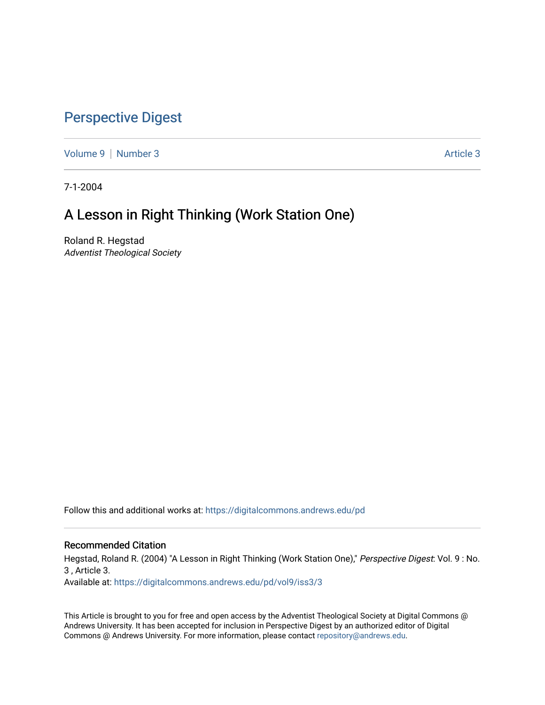## [Perspective Digest](https://digitalcommons.andrews.edu/pd)

[Volume 9](https://digitalcommons.andrews.edu/pd/vol9) | [Number 3](https://digitalcommons.andrews.edu/pd/vol9/iss3) Article 3

7-1-2004

# A Lesson in Right Thinking (Work Station One)

Roland R. Hegstad Adventist Theological Society

Follow this and additional works at: [https://digitalcommons.andrews.edu/pd](https://digitalcommons.andrews.edu/pd?utm_source=digitalcommons.andrews.edu%2Fpd%2Fvol9%2Fiss3%2F3&utm_medium=PDF&utm_campaign=PDFCoverPages)

#### Recommended Citation

Hegstad, Roland R. (2004) "A Lesson in Right Thinking (Work Station One)," Perspective Digest: Vol. 9 : No. 3 , Article 3. Available at: [https://digitalcommons.andrews.edu/pd/vol9/iss3/3](https://digitalcommons.andrews.edu/pd/vol9/iss3/3?utm_source=digitalcommons.andrews.edu%2Fpd%2Fvol9%2Fiss3%2F3&utm_medium=PDF&utm_campaign=PDFCoverPages)

This Article is brought to you for free and open access by the Adventist Theological Society at Digital Commons @ Andrews University. It has been accepted for inclusion in Perspective Digest by an authorized editor of Digital Commons @ Andrews University. For more information, please contact [repository@andrews.edu.](mailto:repository@andrews.edu)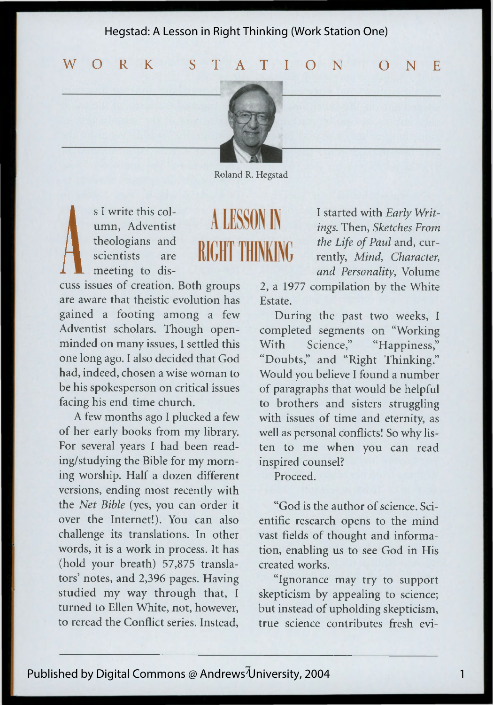Hegstad: A Lesson in Right Thinking (Work Station One)

**WORK** STATION **ONE**



Roland R. Hegstad

A LESSON IN

**RIGHT THINKING** 

s I write this col-<br>
theologians and<br>
scientists are<br>
meeting to dis-<br>
cuss issues of creation. Both groups 2, a umn, Adventist theologians and scientists are meeting to dis-

are aware that theistic evolution has gained a footing among a few Adventist scholars. Though openminded on many issues, I settled this one long ago. I also decided that God had, indeed, chosen a wise woman to be his spokesperson on critical issues facing his end-time church.

A few months ago I plucked a few of her early books from my library. For several years I had been reading/studying the Bible for my morning worship. Half a dozen different versions, ending most recently with the *Net Bible* (yes, you can order it over the Internet!). You can also challenge its translations. In other words, it is a work in process. It has (hold your breath) 57,875 translators' notes, and 2,396 pages. Having studied my way through that, I turned to Ellen White, not, however, to reread the Conflict series. Instead,

I started with *Early Writings.* Then, *Sketches From the Life of Paul* and, currently, *Mind, Character, and Personality*, Volume

2, a 1977 compilation by the White Estate.

During the past two weeks, I completed segments on "Working With Science," "Happiness," "Doubts," and "Right Thinking." Would you believe I found a number of paragraphs that would be helpful to brothers and sisters struggling with issues of time and eternity, as well as personal conflicts! So why listen to me when you can read inspired counsel?

Proceed.

"God is the author of science. Scientific research opens to the mind vast fields of thought and information, enabling us to see God in His created works.

"Ignorance may try to support skepticism by appealing to science; but instead of upholding skepticism, true science contributes fresh evi-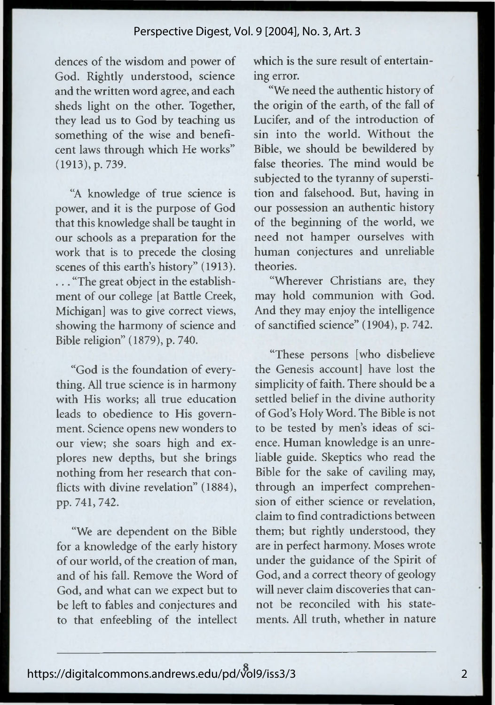#### Perspective Digest, Vol. 9 [2004], No. 3, Art. 3

dences of the wisdom and power of God. Rightly understood, science and the written word agree, and each sheds light on the other. Together, they lead us to God by teaching us something of the wise and beneficent laws through which He works" (1913), p. 739.

"A knowledge of true science is power, and it is the purpose of God that this knowledge shall be taught in our schools as a preparation for the work that is to precede the closing scenes of this earth's history" (1913). . .. "The great object in the establishment of our college [at Battle Creek, Michigan] was to give correct views, showing the harmony of science and Bible religion" (1879), p. 740.

"God is the foundation of everything. All true science is in harmony with His works; all true education leads to obedience to His government. Science opens new wonders to our view; she soars high and explores new depths, but she brings nothing from her research that conflicts with divine revelation" (1884), pp. 741, 742.

"We are dependent on the Bible for a knowledge of the early history of our world, of the creation of man, and of his fall. Remove the Word of God, and what can we expect but to be left to fables and conjectures and to that enfeebling of the intellect which is the sure result of entertaining error.

"We need the authentic history of the origin of the earth, of the fall of Lucifer, and of the introduction of sin into the world. Without the Bible, we should be bewildered by false theories. The mind would be subjected to the tyranny of superstition and falsehood. But, having in our possession an authentic history of the beginning of the world, we need not hamper ourselves with human conjectures and unreliable theories.

"Wherever Christians are, they may hold communion with God. And they may enjoy the intelligence of sanctified science" (1904), p. 742.

"These persons [who disbelieve the Genesis account] have lost the simplicity of faith. There should be a settled belief in the divine authority of God's Holy Word. The Bible is not to be tested by men's ideas of science. Human knowledge is an unreliable guide. Skeptics who read the Bible for the sake of caviling may, through an imperfect comprehension of either science or revelation, claim to find contradictions between them; but rightly understood, they are in perfect harmony. Moses wrote under the guidance of the Spirit of God, and a correct theory of geology will never claim discoveries that cannot be reconciled with his statements. All truth, whether in nature